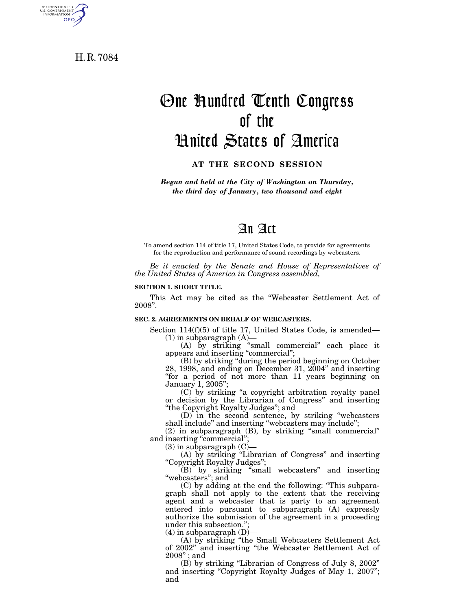H. R. 7084

AUTHENTICATED<br>U.S. GOVERNMENT<br>INFORMATION

GPO

# One Hundred Tenth Congress of the United States of America

### **AT THE SECOND SESSION**

*Begun and held at the City of Washington on Thursday, the third day of January, two thousand and eight* 

# An Act

To amend section 114 of title 17, United States Code, to provide for agreements for the reproduction and performance of sound recordings by webcasters.

*Be it enacted by the Senate and House of Representatives of the United States of America in Congress assembled,* 

#### **SECTION 1. SHORT TITLE.**

This Act may be cited as the ''Webcaster Settlement Act of 2008''.

#### **SEC. 2. AGREEMENTS ON BEHALF OF WEBCASTERS.**

Section 114(f)(5) of title 17, United States Code, is amended—  $(1)$  in subparagraph  $(A)$ —

(A) by striking ''small commercial'' each place it appears and inserting "commercial";

(B) by striking ''during the period beginning on October 28, 1998, and ending on December 31, 2004'' and inserting "for a period of not more than 11 years beginning on January 1, 2005'';

(C) by striking ''a copyright arbitration royalty panel or decision by the Librarian of Congress'' and inserting ''the Copyright Royalty Judges''; and

(D) in the second sentence, by striking ''webcasters shall include'' and inserting ''webcasters may include'';

(2) in subparagraph (B), by striking ''small commercial'' and inserting "commercial";

 $(3)$  in subparagraph  $(C)$ -

(A) by striking ''Librarian of Congress'' and inserting ''Copyright Royalty Judges'';

(B) by striking ''small webcasters'' and inserting "webcasters"; and

(C) by adding at the end the following: ''This subparagraph shall not apply to the extent that the receiving agent and a webcaster that is party to an agreement entered into pursuant to subparagraph (A) expressly authorize the submission of the agreement in a proceeding under this subsection."

 $(4)$  in subparagraph  $(D)$ -

(A) by striking ''the Small Webcasters Settlement Act of 2002'' and inserting ''the Webcaster Settlement Act of 2008'' ; and

(B) by striking ''Librarian of Congress of July 8, 2002'' and inserting "Copyright Royalty Judges of May 1, 2007"; and